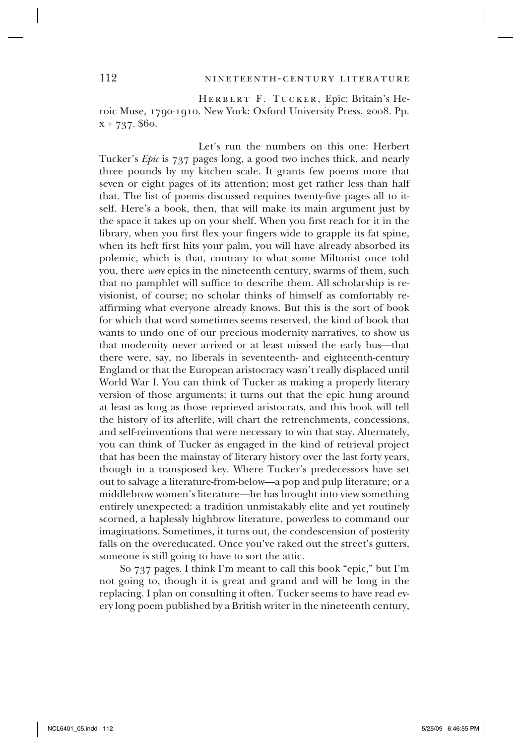# 112 NINETEENTH-CENTURY LITERATURE

Herbert F. Tucker, Epic: Britain's Heroic Muse, 1790-1910. New York: Oxford University Press, 2008. Pp. x + 737. \$60.

Let's run the numbers on this one: Herbert Tucker's *Epic* is 737 pages long, a good two inches thick, and nearly three pounds by my kitchen scale. It grants few poems more that seven or eight pages of its attention; most get rather less than half that. The list of poems discussed requires twenty-five pages all to itself. Here's a book, then, that will make its main argument just by the space it takes up on your shelf. When you first reach for it in the library, when you first flex your fingers wide to grapple its fat spine, when its heft first hits your palm, you will have already absorbed its polemic, which is that, contrary to what some Miltonist once told you, there *were* epics in the nineteenth century, swarms of them, such that no pamphlet will suffice to describe them. All scholarship is revisionist, of course; no scholar thinks of himself as comfortably reaffirming what everyone already knows. But this is the sort of book for which that word sometimes seems reserved, the kind of book that wants to undo one of our precious modernity narratives, to show us that modernity never arrived or at least missed the early bus—that there were, say, no liberals in seventeenth- and eighteenth-century England or that the European aristocracy wasn't really displaced until World War I. You can think of Tucker as making a properly literary version of those arguments: it turns out that the epic hung around at least as long as those reprieved aristocrats, and this book will tell the history of its afterlife, will chart the retrenchments, concessions, and self-reinventions that were necessary to win that stay. Alternately, you can think of Tucker as engaged in the kind of retrieval project that has been the mainstay of literary history over the last forty years, though in a transposed key. Where Tucker's predecessors have set out to salvage a literature-from-below—a pop and pulp literature; or a middlebrow women's literature—he has brought into view something entirely unexpected: a tradition unmistakably elite and yet routinely scorned, a haplessly highbrow literature, powerless to command our imaginations. Sometimes, it turns out, the condescension of posterity falls on the overeducated. Once you've raked out the street's gutters, someone is still going to have to sort the attic.

So 737 pages. I think I'm meant to call this book "epic," but I'm not going to, though it is great and grand and will be long in the replacing. I plan on consulting it often. Tucker seems to have read every long poem published by a British writer in the nineteenth century,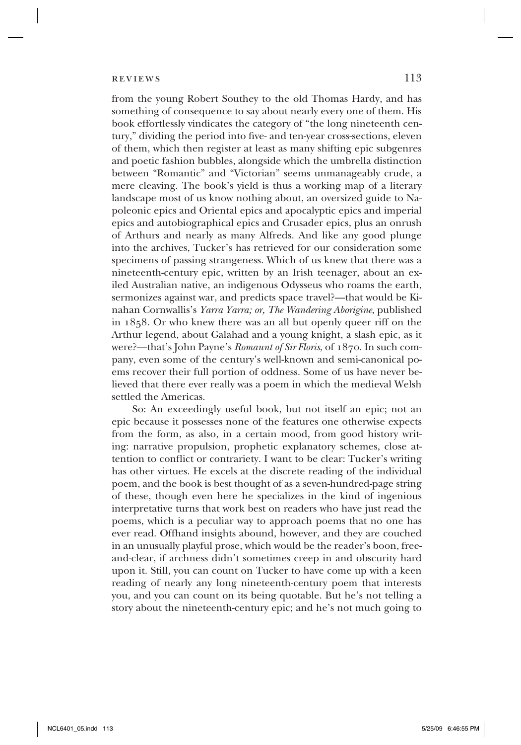# reviews 113

from the young Robert Southey to the old Thomas Hardy, and has something of consequence to say about nearly every one of them. His book effortlessly vindicates the category of "the long nineteenth century," dividing the period into five- and ten-year cross-sections, eleven of them, which then register at least as many shifting epic subgenres and poetic fashion bubbles, alongside which the umbrella distinction between "Romantic" and "Victorian" seems unmanageably crude, a mere cleaving. The book's yield is thus a working map of a literary landscape most of us know nothing about, an oversized guide to Napoleonic epics and Oriental epics and apocalyptic epics and imperial epics and autobiographical epics and Crusader epics, plus an onrush of Arthurs and nearly as many Alfreds. And like any good plunge into the archives, Tucker's has retrieved for our consideration some specimens of passing strangeness. Which of us knew that there was a nineteenth-century epic, written by an Irish teenager, about an exiled Australian native, an indigenous Odysseus who roams the earth, sermonizes against war, and predicts space travel?—that would be Kinahan Cornwallis's *Yarra Yarra; or, The Wandering Aborigine*, published in 1858. Or who knew there was an all but openly queer riff on the Arthur legend, about Galahad and a young knight, a slash epic, as it were?—that's John Payne's *Romaunt of Sir Floris*, of 1870. In such company, even some of the century's well-known and semi-canonical poems recover their full portion of oddness. Some of us have never believed that there ever really was a poem in which the medieval Welsh settled the Americas.

So: An exceedingly useful book, but not itself an epic; not an epic because it possesses none of the features one otherwise expects from the form, as also, in a certain mood, from good history writing: narrative propulsion, prophetic explanatory schemes, close attention to conflict or contrariety. I want to be clear: Tucker's writing has other virtues. He excels at the discrete reading of the individual poem, and the book is best thought of as a seven-hundred-page string of these, though even here he specializes in the kind of ingenious interpretative turns that work best on readers who have just read the poems, which is a peculiar way to approach poems that no one has ever read. Offhand insights abound, however, and they are couched in an unusually playful prose, which would be the reader's boon, freeand-clear, if archness didn't sometimes creep in and obscurity hard upon it. Still, you can count on Tucker to have come up with a keen reading of nearly any long nineteenth-century poem that interests you, and you can count on its being quotable. But he's not telling a story about the nineteenth-century epic; and he's not much going to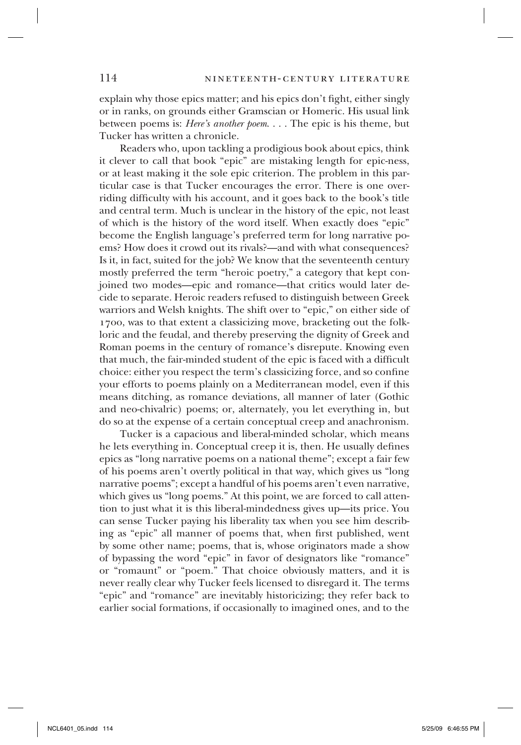explain why those epics matter; and his epics don't fight, either singly or in ranks, on grounds either Gramscian or Homeric. His usual link between poems is: *Here's another poem*. . . . The epic is his theme, but Tucker has written a chronicle.

Readers who, upon tackling a prodigious book about epics, think it clever to call that book "epic" are mistaking length for epic-ness, or at least making it the sole epic criterion. The problem in this particular case is that Tucker encourages the error. There is one overriding difficulty with his account, and it goes back to the book's title and central term. Much is unclear in the history of the epic, not least of which is the history of the word itself. When exactly does "epic" become the English language's preferred term for long narrative poems? How does it crowd out its rivals?—and with what consequences? Is it, in fact, suited for the job? We know that the seventeenth century mostly preferred the term "heroic poetry," a category that kept conjoined two modes—epic and romance—that critics would later decide to separate. Heroic readers refused to distinguish between Greek warriors and Welsh knights. The shift over to "epic," on either side of 1700, was to that extent a classicizing move, bracketing out the folkloric and the feudal, and thereby preserving the dignity of Greek and Roman poems in the century of romance's disrepute. Knowing even that much, the fair-minded student of the epic is faced with a difficult choice: either you respect the term's classicizing force, and so confine your efforts to poems plainly on a Mediterranean model, even if this means ditching, as romance deviations, all manner of later (Gothic and neo-chivalric) poems; or, alternately, you let everything in, but do so at the expense of a certain conceptual creep and anachronism.

Tucker is a capacious and liberal-minded scholar, which means he lets everything in. Conceptual creep it is, then. He usually defines epics as "long narrative poems on a national theme"; except a fair few of his poems aren't overtly political in that way, which gives us "long narrative poems"; except a handful of his poems aren't even narrative, which gives us "long poems." At this point, we are forced to call attention to just what it is this liberal-mindedness gives up—its price. You can sense Tucker paying his liberality tax when you see him describing as "epic" all manner of poems that, when first published, went by some other name; poems, that is, whose originators made a show of bypassing the word "epic" in favor of designators like "romance" or "romaunt" or "poem." That choice obviously matters, and it is never really clear why Tucker feels licensed to disregard it. The terms "epic" and "romance" are inevitably historicizing; they refer back to earlier social formations, if occasionally to imagined ones, and to the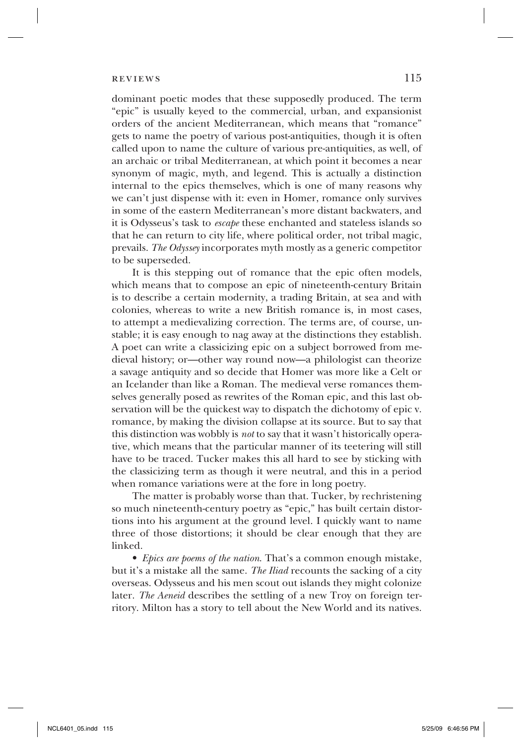# reviews 115

dominant poetic modes that these supposedly produced. The term "epic" is usually keyed to the commercial, urban, and expansionist orders of the ancient Mediterranean, which means that "romance" gets to name the poetry of various post-antiquities, though it is often called upon to name the culture of various pre-antiquities, as well, of an archaic or tribal Mediterranean, at which point it becomes a near synonym of magic, myth, and legend. This is actually a distinction internal to the epics themselves, which is one of many reasons why we can't just dispense with it: even in Homer, romance only survives in some of the eastern Mediterranean's more distant backwaters, and it is Odysseus's task to *escape* these enchanted and stateless islands so that he can return to city life, where political order, not tribal magic, prevails. *The Odyssey* incorporates myth mostly as a generic competitor to be superseded.

It is this stepping out of romance that the epic often models, which means that to compose an epic of nineteenth-century Britain is to describe a certain modernity, a trading Britain, at sea and with colonies, whereas to write a new British romance is, in most cases, to attempt a medievalizing correction. The terms are, of course, unstable; it is easy enough to nag away at the distinctions they establish. A poet can write a classicizing epic on a subject borrowed from medieval history; or—other way round now—a philologist can theorize a savage antiquity and so decide that Homer was more like a Celt or an Icelander than like a Roman. The medieval verse romances themselves generally posed as rewrites of the Roman epic, and this last observation will be the quickest way to dispatch the dichotomy of epic v. romance, by making the division collapse at its source. But to say that this distinction was wobbly is *not* to say that it wasn't historically operative, which means that the particular manner of its teetering will still have to be traced. Tucker makes this all hard to see by sticking with the classicizing term as though it were neutral, and this in a period when romance variations were at the fore in long poetry.

The matter is probably worse than that. Tucker, by rechristening so much nineteenth-century poetry as "epic," has built certain distortions into his argument at the ground level. I quickly want to name three of those distortions; it should be clear enough that they are linked.

• *Epics are poems of the nation*. That's a common enough mistake, but it's a mistake all the same. *The Iliad* recounts the sacking of a city overseas. Odysseus and his men scout out islands they might colonize later. *The Aeneid* describes the settling of a new Troy on foreign territory. Milton has a story to tell about the New World and its natives.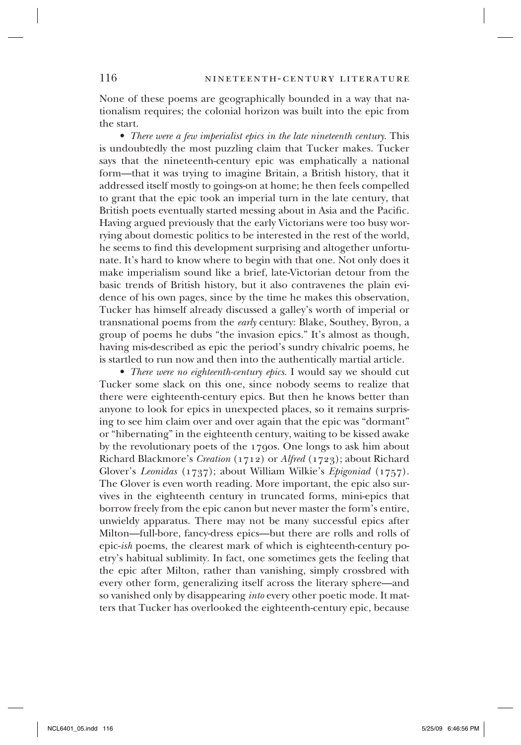None of these poems are geographically bounded in a way that nationalism requires; the colonial horizon was built into the epic from the start.

• *There were a few imperialist epics in the late nineteenth century*. This is undoubtedly the most puzzling claim that Tucker makes. Tucker says that the nineteenth-century epic was emphatically a national form—that it was trying to imagine Britain, a British history, that it addressed itself mostly to goings-on at home; he then feels compelled to grant that the epic took an imperial turn in the late century, that British poets eventually started messing about in Asia and the Pacific. Having argued previously that the early Victorians were too busy worrying about domestic politics to be interested in the rest of the world, he seems to find this development surprising and altogether unfortunate. It's hard to know where to begin with that one. Not only does it make imperialism sound like a brief, late-Victorian detour from the basic trends of British history, but it also contravenes the plain evidence of his own pages, since by the time he makes this observation, Tucker has himself already discussed a galley's worth of imperial or transnational poems from the *early* century: Blake, Southey, Byron, a group of poems he dubs "the invasion epics." It's almost as though, having mis-described as epic the period's sundry chivalric poems, he is startled to run now and then into the authentically martial article.

• *There were no eighteenth-century epics*. I would say we should cut Tucker some slack on this one, since nobody seems to realize that there were eighteenth-century epics. But then he knows better than anyone to look for epics in unexpected places, so it remains surprising to see him claim over and over again that the epic was "dormant" or "hibernating" in the eighteenth century, waiting to be kissed awake by the revolutionary poets of the 1790s. One longs to ask him about Richard Blackmore's *Creation* (1712) or *Alfred* (1723); about Richard Glover's *Leonidas* (1737); about William Wilkie's *Epigoniad* (1757). The Glover is even worth reading. More important, the epic also survives in the eighteenth century in truncated forms, mini-epics that borrow freely from the epic canon but never master the form's entire, unwieldy apparatus. There may not be many successful epics after Milton—full-bore, fancy-dress epics—but there are rolls and rolls of epic-*ish* poems, the clearest mark of which is eighteenth-century poetry's habitual sublimity. In fact, one sometimes gets the feeling that the epic after Milton, rather than vanishing, simply crossbred with every other form, generalizing itself across the literary sphere—and so vanished only by disappearing *into* every other poetic mode. It matters that Tucker has overlooked the eighteenth-century epic, because